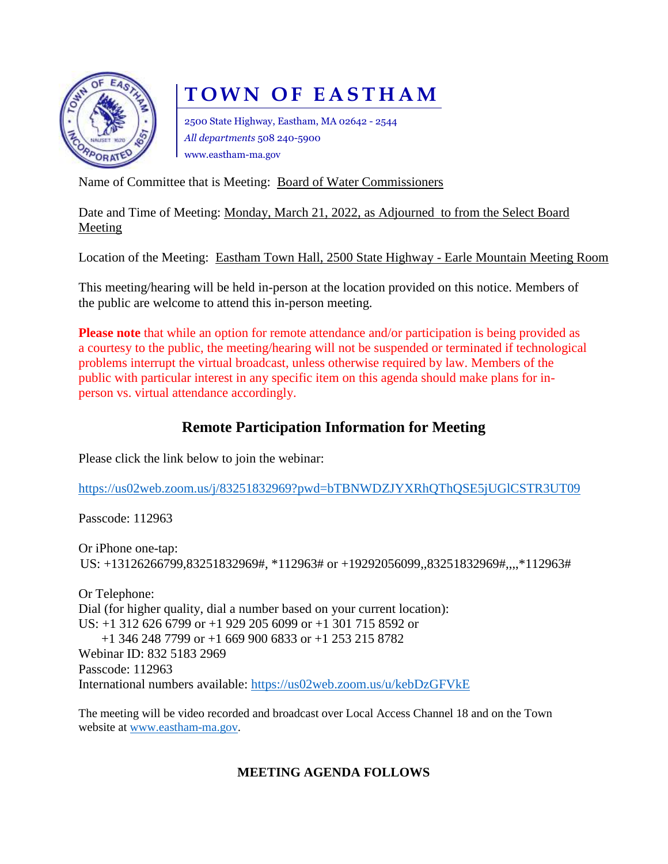

# **TOWN OF EASTHAM**

2500 State Highway, Eastham, MA 02642 - 2544 *All departments* 508 240-5900 www.eastham-ma.gov

Name of Committee that is Meeting: Board of Water Commissioners

Date and Time of Meeting: Monday, March 21, 2022, as Adjourned to from the Select Board Meeting

Location of the Meeting: Eastham Town Hall, 2500 State Highway - Earle Mountain Meeting Room

This meeting/hearing will be held in-person at the location provided on this notice. Members of the public are welcome to attend this in-person meeting.

**Please note** that while an option for remote attendance and/or participation is being provided as a courtesy to the public, the meeting/hearing will not be suspended or terminated if technological problems interrupt the virtual broadcast, unless otherwise required by law. Members of the public with particular interest in any specific item on this agenda should make plans for inperson vs. virtual attendance accordingly.

## **Remote Participation Information for Meeting**

Please click the link below to join the webinar:

<https://us02web.zoom.us/j/83251832969?pwd=bTBNWDZJYXRhQThQSE5jUGlCSTR3UT09>

Passcode: 112963

Or iPhone one-tap: US: +13126266799,83251832969#, \*112963# or +19292056099,,83251832969#,,,,\*112963#

Or Telephone: Dial (for higher quality, dial a number based on your current location): US: +1 312 626 6799 or +1 929 205 6099 or +1 301 715 8592 or +1 346 248 7799 or +1 669 900 6833 or +1 253 215 8782 Webinar ID: 832 5183 2969 Passcode: 112963 International numbers available:<https://us02web.zoom.us/u/kebDzGFVkE>

The meeting will be video recorded and broadcast over Local Access Channel 18 and on the Town website at [www.eastham-ma.gov.](http://www.eastham-ma.gov/)

## **MEETING AGENDA FOLLOWS**